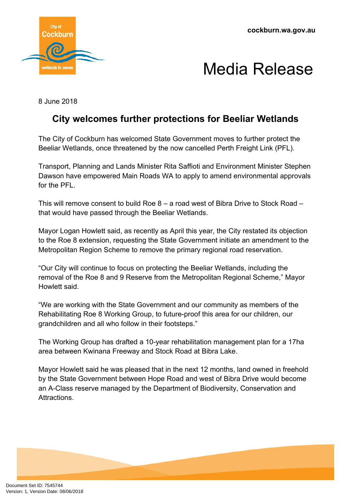

## Media Release

8 June 2018

## **City welcomes further protections for Beeliar Wetlands**

The City of Cockburn has welcomed State Government moves to further protect the Beeliar Wetlands, once threatened by the now cancelled Perth Freight Link (PFL).

Transport, Planning and Lands Minister Rita Saffioti and Environment Minister Stephen Dawson have empowered Main Roads WA to apply to amend environmental approvals for the PFI

This will remove consent to build Roe 8 – a road west of Bibra Drive to Stock Road – that would have passed through the Beeliar Wetlands.

Mayor Logan Howlett said, as recently as April this year, the City restated its objection to the Roe 8 extension, requesting the State Government initiate an amendment to the Metropolitan Region Scheme to remove the primary regional road reservation.

"Our City will continue to focus on protecting the Beeliar Wetlands, including the removal of the Roe 8 and 9 Reserve from the Metropolitan Regional Scheme," Mayor Howlett said.

"We are working with the State Government and our community as members of the Rehabilitating Roe 8 Working Group, to future-proof this area for our children, our grandchildren and all who follow in their footsteps."

The Working Group has drafted a 10-year rehabilitation management plan for a 17ha area between Kwinana Freeway and Stock Road at Bibra Lake.

Mayor Howlett said he was pleased that in the next 12 months, land owned in freehold by the State Government between Hope Road and west of Bibra Drive would become an A-Class reserve managed by the Department of Biodiversity, Conservation and Attractions.